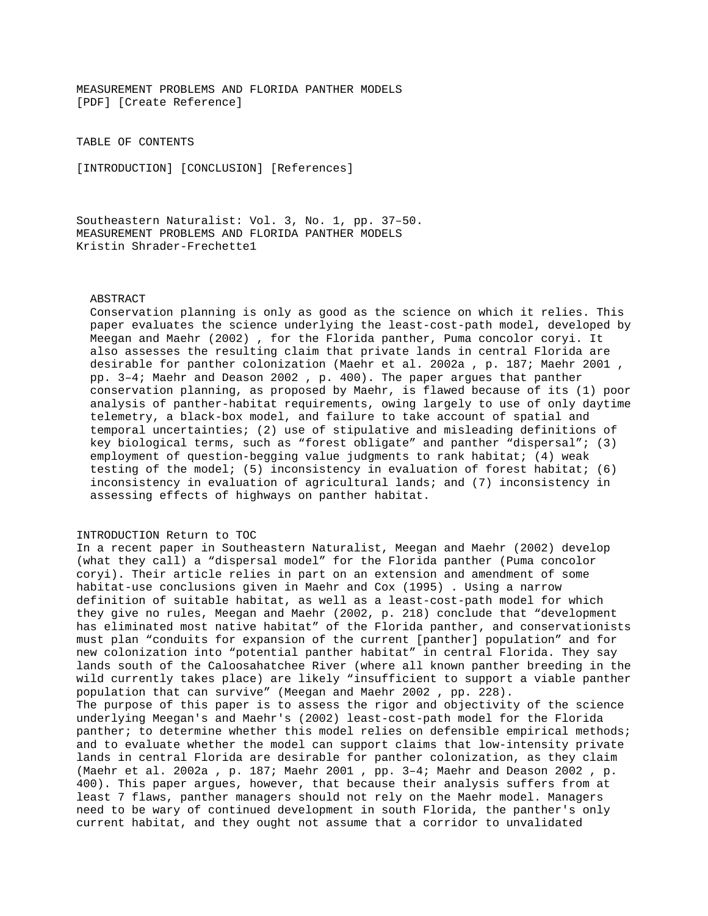MEASUREMENT PROBLEMS AND FLORIDA PANTHER MODELS [PDF] [Create Reference]

TABLE OF CONTENTS

[INTRODUCTION] [CONCLUSION] [References]

Southeastern Naturalist: Vol. 3, No. 1, pp. 37–50. MEASUREMENT PROBLEMS AND FLORIDA PANTHER MODELS Kristin Shrader-Frechette1

## ABSTRACT

 Conservation planning is only as good as the science on which it relies. This paper evaluates the science underlying the least-cost-path model, developed by Meegan and Maehr (2002) , for the Florida panther, Puma concolor coryi. It also assesses the resulting claim that private lands in central Florida are desirable for panther colonization (Maehr et al. 2002a , p. 187; Maehr 2001 , pp. 3–4; Maehr and Deason 2002 , p. 400). The paper argues that panther conservation planning, as proposed by Maehr, is flawed because of its (1) poor analysis of panther-habitat requirements, owing largely to use of only daytime telemetry, a black-box model, and failure to take account of spatial and temporal uncertainties; (2) use of stipulative and misleading definitions of key biological terms, such as "forest obligate" and panther "dispersal"; (3) employment of question-begging value judgments to rank habitat; (4) weak testing of the model; (5) inconsistency in evaluation of forest habitat; (6) inconsistency in evaluation of agricultural lands; and (7) inconsistency in assessing effects of highways on panther habitat.

## INTRODUCTION Return to TOC

In a recent paper in Southeastern Naturalist, Meegan and Maehr (2002) develop (what they call) a "dispersal model" for the Florida panther (Puma concolor coryi). Their article relies in part on an extension and amendment of some habitat-use conclusions given in Maehr and Cox (1995) . Using a narrow definition of suitable habitat, as well as a least-cost-path model for which they give no rules, Meegan and Maehr (2002, p. 218) conclude that "development has eliminated most native habitat" of the Florida panther, and conservationists must plan "conduits for expansion of the current [panther] population" and for new colonization into "potential panther habitat" in central Florida. They say lands south of the Caloosahatchee River (where all known panther breeding in the wild currently takes place) are likely "insufficient to support a viable panther population that can survive" (Meegan and Maehr 2002 , pp. 228). The purpose of this paper is to assess the rigor and objectivity of the science underlying Meegan's and Maehr's (2002) least-cost-path model for the Florida panther; to determine whether this model relies on defensible empirical methods; and to evaluate whether the model can support claims that low-intensity private lands in central Florida are desirable for panther colonization, as they claim (Maehr et al. 2002a , p. 187; Maehr 2001 , pp. 3–4; Maehr and Deason 2002 , p. 400). This paper argues, however, that because their analysis suffers from at least 7 flaws, panther managers should not rely on the Maehr model. Managers need to be wary of continued development in south Florida, the panther's only current habitat, and they ought not assume that a corridor to unvalidated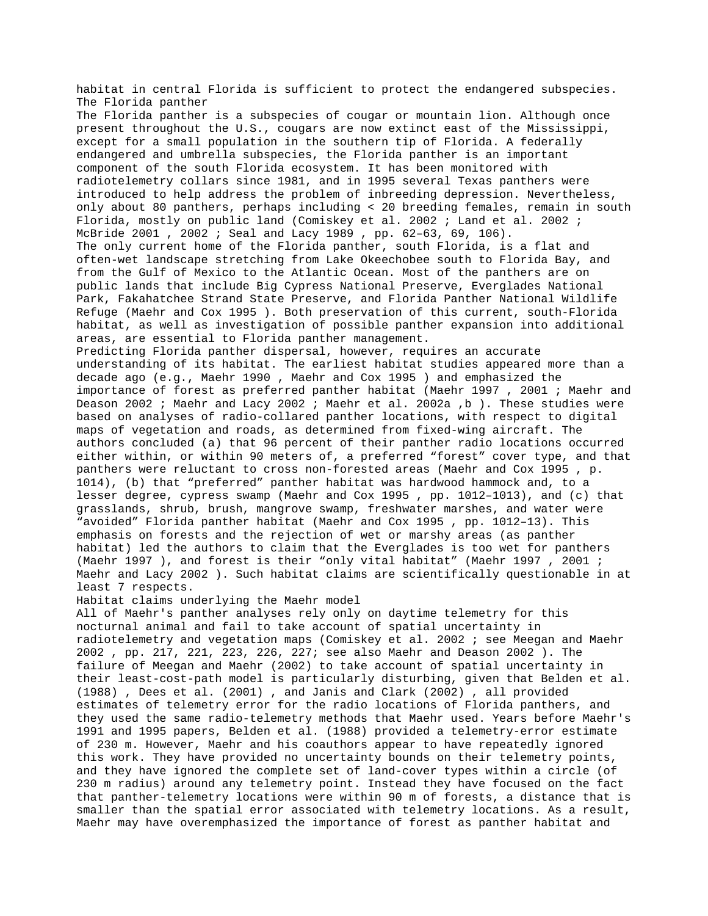habitat in central Florida is sufficient to protect the endangered subspecies. The Florida panther The Florida panther is a subspecies of cougar or mountain lion. Although once present throughout the U.S., cougars are now extinct east of the Mississippi, except for a small population in the southern tip of Florida. A federally endangered and umbrella subspecies, the Florida panther is an important component of the south Florida ecosystem. It has been monitored with radiotelemetry collars since 1981, and in 1995 several Texas panthers were introduced to help address the problem of inbreeding depression. Nevertheless, only about 80 panthers, perhaps including < 20 breeding females, remain in south Florida, mostly on public land (Comiskey et al. 2002 ; Land et al. 2002 ; McBride 2001 , 2002 ; Seal and Lacy 1989 , pp. 62–63, 69, 106). The only current home of the Florida panther, south Florida, is a flat and often-wet landscape stretching from Lake Okeechobee south to Florida Bay, and from the Gulf of Mexico to the Atlantic Ocean. Most of the panthers are on public lands that include Big Cypress National Preserve, Everglades National Park, Fakahatchee Strand State Preserve, and Florida Panther National Wildlife Refuge (Maehr and Cox 1995 ). Both preservation of this current, south-Florida habitat, as well as investigation of possible panther expansion into additional areas, are essential to Florida panther management. Predicting Florida panther dispersal, however, requires an accurate understanding of its habitat. The earliest habitat studies appeared more than a decade ago (e.g., Maehr 1990 , Maehr and Cox 1995 ) and emphasized the importance of forest as preferred panther habitat (Maehr 1997 , 2001 ; Maehr and Deason 2002 ; Maehr and Lacy 2002 ; Maehr et al. 2002a ,b ). These studies were based on analyses of radio-collared panther locations, with respect to digital maps of vegetation and roads, as determined from fixed-wing aircraft. The authors concluded (a) that 96 percent of their panther radio locations occurred either within, or within 90 meters of, a preferred "forest" cover type, and that panthers were reluctant to cross non-forested areas (Maehr and Cox 1995 , p. 1014), (b) that "preferred" panther habitat was hardwood hammock and, to a lesser degree, cypress swamp (Maehr and Cox 1995 , pp. 1012–1013), and (c) that grasslands, shrub, brush, mangrove swamp, freshwater marshes, and water were "avoided" Florida panther habitat (Maehr and Cox 1995 , pp. 1012–13). This emphasis on forests and the rejection of wet or marshy areas (as panther habitat) led the authors to claim that the Everglades is too wet for panthers (Maehr 1997 ), and forest is their "only vital habitat" (Maehr 1997 , 2001 ; Maehr and Lacy 2002 ). Such habitat claims are scientifically questionable in at least 7 respects. Habitat claims underlying the Maehr model All of Maehr's panther analyses rely only on daytime telemetry for this nocturnal animal and fail to take account of spatial uncertainty in radiotelemetry and vegetation maps (Comiskey et al. 2002 ; see Meegan and Maehr 2002 , pp. 217, 221, 223, 226, 227; see also Maehr and Deason 2002 ). The failure of Meegan and Maehr (2002) to take account of spatial uncertainty in their least-cost-path model is particularly disturbing, given that Belden et al. (1988) , Dees et al. (2001) , and Janis and Clark (2002) , all provided estimates of telemetry error for the radio locations of Florida panthers, and they used the same radio-telemetry methods that Maehr used. Years before Maehr's 1991 and 1995 papers, Belden et al. (1988) provided a telemetry-error estimate of 230 m. However, Maehr and his coauthors appear to have repeatedly ignored this work. They have provided no uncertainty bounds on their telemetry points, and they have ignored the complete set of land-cover types within a circle (of 230 m radius) around any telemetry point. Instead they have focused on the fact that panther-telemetry locations were within 90 m of forests, a distance that is smaller than the spatial error associated with telemetry locations. As a result, Maehr may have overemphasized the importance of forest as panther habitat and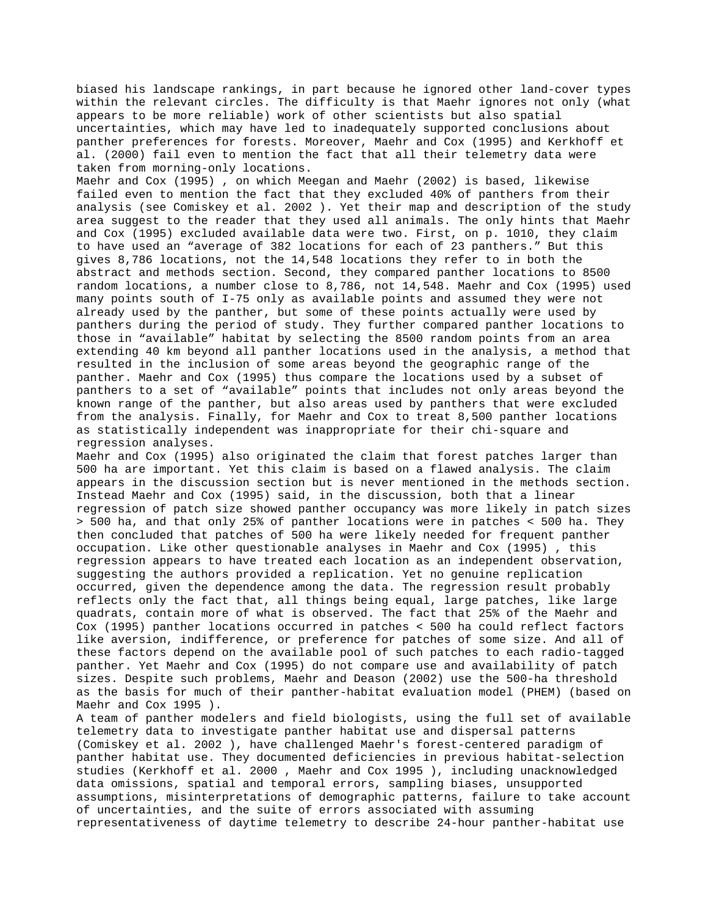biased his landscape rankings, in part because he ignored other land-cover types within the relevant circles. The difficulty is that Maehr ignores not only (what appears to be more reliable) work of other scientists but also spatial uncertainties, which may have led to inadequately supported conclusions about panther preferences for forests. Moreover, Maehr and Cox (1995) and Kerkhoff et al. (2000) fail even to mention the fact that all their telemetry data were taken from morning-only locations.

Maehr and Cox (1995) , on which Meegan and Maehr (2002) is based, likewise failed even to mention the fact that they excluded 40% of panthers from their analysis (see Comiskey et al. 2002 ). Yet their map and description of the study area suggest to the reader that they used all animals. The only hints that Maehr and Cox (1995) excluded available data were two. First, on p. 1010, they claim to have used an "average of 382 locations for each of 23 panthers." But this gives 8,786 locations, not the 14,548 locations they refer to in both the abstract and methods section. Second, they compared panther locations to 8500 random locations, a number close to 8,786, not 14,548. Maehr and Cox (1995) used many points south of I-75 only as available points and assumed they were not already used by the panther, but some of these points actually were used by panthers during the period of study. They further compared panther locations to those in "available" habitat by selecting the 8500 random points from an area extending 40 km beyond all panther locations used in the analysis, a method that resulted in the inclusion of some areas beyond the geographic range of the panther. Maehr and Cox (1995) thus compare the locations used by a subset of panthers to a set of "available" points that includes not only areas beyond the known range of the panther, but also areas used by panthers that were excluded from the analysis. Finally, for Maehr and Cox to treat 8,500 panther locations as statistically independent was inappropriate for their chi-square and regression analyses.

Maehr and Cox (1995) also originated the claim that forest patches larger than 500 ha are important. Yet this claim is based on a flawed analysis. The claim appears in the discussion section but is never mentioned in the methods section. Instead Maehr and Cox (1995) said, in the discussion, both that a linear regression of patch size showed panther occupancy was more likely in patch sizes > 500 ha, and that only 25% of panther locations were in patches < 500 ha. They then concluded that patches of 500 ha were likely needed for frequent panther occupation. Like other questionable analyses in Maehr and Cox (1995) , this regression appears to have treated each location as an independent observation, suggesting the authors provided a replication. Yet no genuine replication occurred, given the dependence among the data. The regression result probably reflects only the fact that, all things being equal, large patches, like large quadrats, contain more of what is observed. The fact that 25% of the Maehr and Cox (1995) panther locations occurred in patches < 500 ha could reflect factors like aversion, indifference, or preference for patches of some size. And all of these factors depend on the available pool of such patches to each radio-tagged panther. Yet Maehr and Cox (1995) do not compare use and availability of patch sizes. Despite such problems, Maehr and Deason (2002) use the 500-ha threshold as the basis for much of their panther-habitat evaluation model (PHEM) (based on Maehr and Cox 1995 ).

A team of panther modelers and field biologists, using the full set of available telemetry data to investigate panther habitat use and dispersal patterns (Comiskey et al. 2002 ), have challenged Maehr's forest-centered paradigm of panther habitat use. They documented deficiencies in previous habitat-selection studies (Kerkhoff et al. 2000 , Maehr and Cox 1995 ), including unacknowledged data omissions, spatial and temporal errors, sampling biases, unsupported assumptions, misinterpretations of demographic patterns, failure to take account of uncertainties, and the suite of errors associated with assuming representativeness of daytime telemetry to describe 24-hour panther-habitat use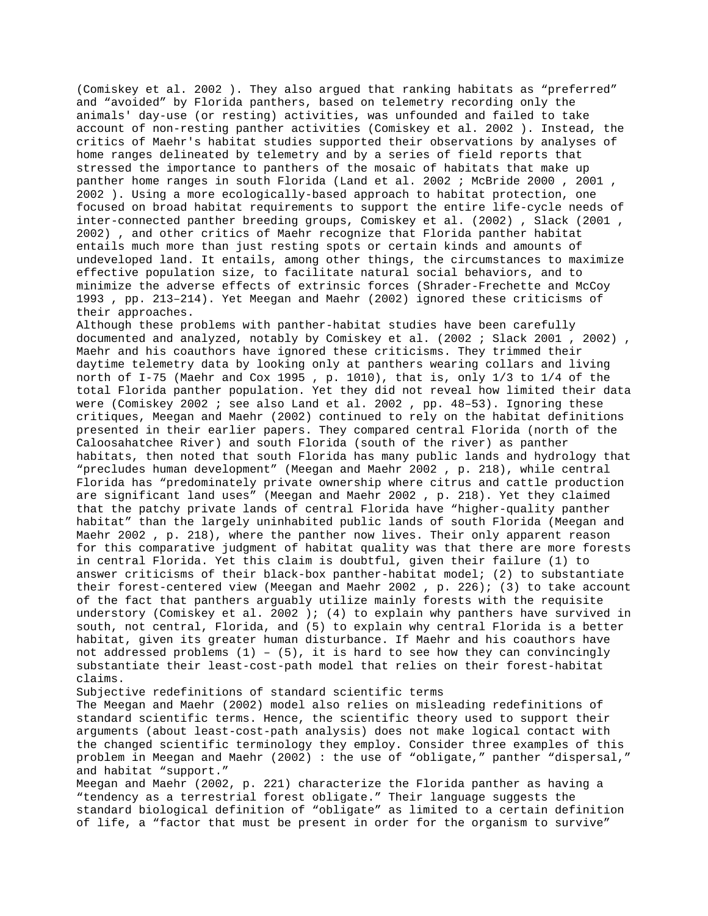(Comiskey et al. 2002 ). They also argued that ranking habitats as "preferred" and "avoided" by Florida panthers, based on telemetry recording only the animals' day-use (or resting) activities, was unfounded and failed to take account of non-resting panther activities (Comiskey et al. 2002 ). Instead, the critics of Maehr's habitat studies supported their observations by analyses of home ranges delineated by telemetry and by a series of field reports that stressed the importance to panthers of the mosaic of habitats that make up panther home ranges in south Florida (Land et al. 2002 ; McBride 2000 , 2001 , 2002 ). Using a more ecologically-based approach to habitat protection, one focused on broad habitat requirements to support the entire life-cycle needs of inter-connected panther breeding groups, Comiskey et al. (2002) , Slack (2001 , 2002) , and other critics of Maehr recognize that Florida panther habitat entails much more than just resting spots or certain kinds and amounts of undeveloped land. It entails, among other things, the circumstances to maximize effective population size, to facilitate natural social behaviors, and to minimize the adverse effects of extrinsic forces (Shrader-Frechette and McCoy 1993 , pp. 213–214). Yet Meegan and Maehr (2002) ignored these criticisms of their approaches.

Although these problems with panther-habitat studies have been carefully documented and analyzed, notably by Comiskey et al. (2002 ; Slack 2001 , 2002) , Maehr and his coauthors have ignored these criticisms. They trimmed their daytime telemetry data by looking only at panthers wearing collars and living north of I-75 (Maehr and Cox 1995 , p. 1010), that is, only 1/3 to 1/4 of the total Florida panther population. Yet they did not reveal how limited their data were (Comiskey 2002 ; see also Land et al. 2002 , pp. 48–53). Ignoring these critiques, Meegan and Maehr (2002) continued to rely on the habitat definitions presented in their earlier papers. They compared central Florida (north of the Caloosahatchee River) and south Florida (south of the river) as panther habitats, then noted that south Florida has many public lands and hydrology that "precludes human development" (Meegan and Maehr 2002 , p. 218), while central Florida has "predominately private ownership where citrus and cattle production are significant land uses" (Meegan and Maehr 2002 , p. 218). Yet they claimed that the patchy private lands of central Florida have "higher-quality panther habitat" than the largely uninhabited public lands of south Florida (Meegan and Maehr 2002 , p. 218), where the panther now lives. Their only apparent reason for this comparative judgment of habitat quality was that there are more forests in central Florida. Yet this claim is doubtful, given their failure (1) to answer criticisms of their black-box panther-habitat model; (2) to substantiate their forest-centered view (Meegan and Maehr 2002, p. 226); (3) to take account of the fact that panthers arguably utilize mainly forests with the requisite understory (Comiskey et al. 2002 ); (4) to explain why panthers have survived in south, not central, Florida, and (5) to explain why central Florida is a better habitat, given its greater human disturbance. If Maehr and his coauthors have not addressed problems  $(1)$  -  $(5)$ , it is hard to see how they can convincingly substantiate their least-cost-path model that relies on their forest-habitat claims.

Subjective redefinitions of standard scientific terms

The Meegan and Maehr (2002) model also relies on misleading redefinitions of standard scientific terms. Hence, the scientific theory used to support their arguments (about least-cost-path analysis) does not make logical contact with the changed scientific terminology they employ. Consider three examples of this problem in Meegan and Maehr (2002) : the use of "obligate," panther "dispersal," and habitat "support."

Meegan and Maehr (2002, p. 221) characterize the Florida panther as having a "tendency as a terrestrial forest obligate." Their language suggests the standard biological definition of "obligate" as limited to a certain definition of life, a "factor that must be present in order for the organism to survive"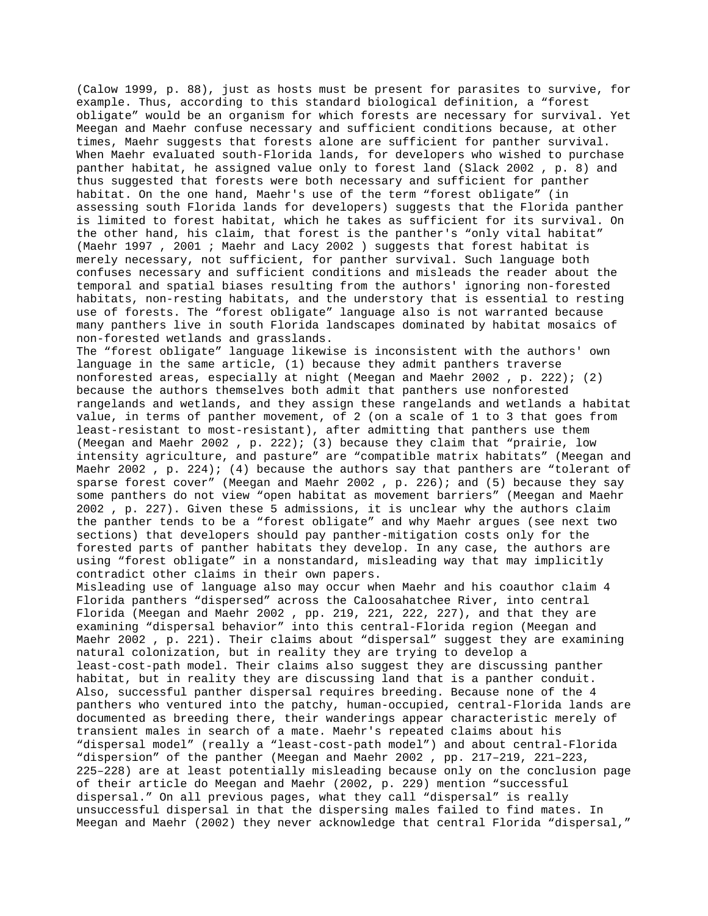(Calow 1999, p. 88), just as hosts must be present for parasites to survive, for example. Thus, according to this standard biological definition, a "forest obligate" would be an organism for which forests are necessary for survival. Yet Meegan and Maehr confuse necessary and sufficient conditions because, at other times, Maehr suggests that forests alone are sufficient for panther survival. When Maehr evaluated south-Florida lands, for developers who wished to purchase panther habitat, he assigned value only to forest land (Slack 2002 , p. 8) and thus suggested that forests were both necessary and sufficient for panther habitat. On the one hand, Maehr's use of the term "forest obligate" (in assessing south Florida lands for developers) suggests that the Florida panther is limited to forest habitat, which he takes as sufficient for its survival. On the other hand, his claim, that forest is the panther's "only vital habitat" (Maehr 1997 , 2001 ; Maehr and Lacy 2002 ) suggests that forest habitat is merely necessary, not sufficient, for panther survival. Such language both confuses necessary and sufficient conditions and misleads the reader about the temporal and spatial biases resulting from the authors' ignoring non-forested habitats, non-resting habitats, and the understory that is essential to resting use of forests. The "forest obligate" language also is not warranted because many panthers live in south Florida landscapes dominated by habitat mosaics of non-forested wetlands and grasslands.

The "forest obligate" language likewise is inconsistent with the authors' own language in the same article, (1) because they admit panthers traverse nonforested areas, especially at night (Meegan and Maehr 2002 , p. 222); (2) because the authors themselves both admit that panthers use nonforested rangelands and wetlands, and they assign these rangelands and wetlands a habitat value, in terms of panther movement, of 2 (on a scale of 1 to 3 that goes from least-resistant to most-resistant), after admitting that panthers use them (Meegan and Maehr 2002 , p. 222); (3) because they claim that "prairie, low intensity agriculture, and pasture" are "compatible matrix habitats" (Meegan and Maehr 2002 , p. 224); (4) because the authors say that panthers are "tolerant of sparse forest cover" (Meegan and Maehr 2002 , p. 226); and (5) because they say some panthers do not view "open habitat as movement barriers" (Meegan and Maehr 2002 , p. 227). Given these 5 admissions, it is unclear why the authors claim the panther tends to be a "forest obligate" and why Maehr argues (see next two sections) that developers should pay panther-mitigation costs only for the forested parts of panther habitats they develop. In any case, the authors are using "forest obligate" in a nonstandard, misleading way that may implicitly contradict other claims in their own papers.

Misleading use of language also may occur when Maehr and his coauthor claim 4 Florida panthers "dispersed" across the Caloosahatchee River, into central Florida (Meegan and Maehr 2002 , pp. 219, 221, 222, 227), and that they are examining "dispersal behavior" into this central-Florida region (Meegan and Maehr 2002 , p. 221). Their claims about "dispersal" suggest they are examining natural colonization, but in reality they are trying to develop a least-cost-path model. Their claims also suggest they are discussing panther habitat, but in reality they are discussing land that is a panther conduit. Also, successful panther dispersal requires breeding. Because none of the 4 panthers who ventured into the patchy, human-occupied, central-Florida lands are documented as breeding there, their wanderings appear characteristic merely of transient males in search of a mate. Maehr's repeated claims about his "dispersal model" (really a "least-cost-path model") and about central-Florida "dispersion" of the panther (Meegan and Maehr 2002 , pp. 217–219, 221–223, 225–228) are at least potentially misleading because only on the conclusion page of their article do Meegan and Maehr (2002, p. 229) mention "successful dispersal." On all previous pages, what they call "dispersal" is really unsuccessful dispersal in that the dispersing males failed to find mates. In Meegan and Maehr (2002) they never acknowledge that central Florida "dispersal,"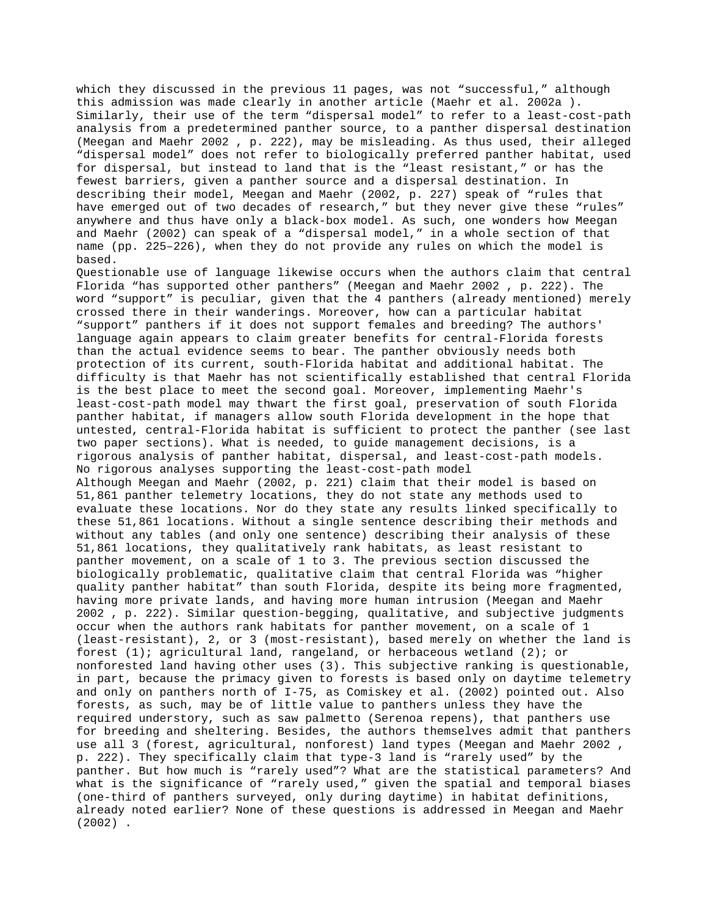which they discussed in the previous 11 pages, was not "successful," although this admission was made clearly in another article (Maehr et al. 2002a ). Similarly, their use of the term "dispersal model" to refer to a least-cost-path analysis from a predetermined panther source, to a panther dispersal destination (Meegan and Maehr 2002 , p. 222), may be misleading. As thus used, their alleged "dispersal model" does not refer to biologically preferred panther habitat, used for dispersal, but instead to land that is the "least resistant," or has the fewest barriers, given a panther source and a dispersal destination. In describing their model, Meegan and Maehr (2002, p. 227) speak of "rules that have emerged out of two decades of research," but they never give these "rules" anywhere and thus have only a black-box model. As such, one wonders how Meegan and Maehr (2002) can speak of a "dispersal model," in a whole section of that name (pp. 225–226), when they do not provide any rules on which the model is based.

Questionable use of language likewise occurs when the authors claim that central Florida "has supported other panthers" (Meegan and Maehr 2002 , p. 222). The word "support" is peculiar, given that the 4 panthers (already mentioned) merely crossed there in their wanderings. Moreover, how can a particular habitat "support" panthers if it does not support females and breeding? The authors' language again appears to claim greater benefits for central-Florida forests than the actual evidence seems to bear. The panther obviously needs both protection of its current, south-Florida habitat and additional habitat. The difficulty is that Maehr has not scientifically established that central Florida is the best place to meet the second goal. Moreover, implementing Maehr's least-cost-path model may thwart the first goal, preservation of south Florida panther habitat, if managers allow south Florida development in the hope that untested, central-Florida habitat is sufficient to protect the panther (see last two paper sections). What is needed, to guide management decisions, is a rigorous analysis of panther habitat, dispersal, and least-cost-path models. No rigorous analyses supporting the least-cost-path model Although Meegan and Maehr (2002, p. 221) claim that their model is based on 51,861 panther telemetry locations, they do not state any methods used to evaluate these locations. Nor do they state any results linked specifically to these 51,861 locations. Without a single sentence describing their methods and without any tables (and only one sentence) describing their analysis of these 51,861 locations, they qualitatively rank habitats, as least resistant to panther movement, on a scale of 1 to 3. The previous section discussed the biologically problematic, qualitative claim that central Florida was "higher quality panther habitat" than south Florida, despite its being more fragmented, having more private lands, and having more human intrusion (Meegan and Maehr 2002 , p. 222). Similar question-begging, qualitative, and subjective judgments occur when the authors rank habitats for panther movement, on a scale of 1 (least-resistant), 2, or 3 (most-resistant), based merely on whether the land is forest (1); agricultural land, rangeland, or herbaceous wetland (2); or nonforested land having other uses (3). This subjective ranking is questionable, in part, because the primacy given to forests is based only on daytime telemetry and only on panthers north of I-75, as Comiskey et al. (2002) pointed out. Also forests, as such, may be of little value to panthers unless they have the required understory, such as saw palmetto (Serenoa repens), that panthers use for breeding and sheltering. Besides, the authors themselves admit that panthers use all 3 (forest, agricultural, nonforest) land types (Meegan and Maehr 2002 , p. 222). They specifically claim that type-3 land is "rarely used" by the panther. But how much is "rarely used"? What are the statistical parameters? And what is the significance of "rarely used," given the spatial and temporal biases (one-third of panthers surveyed, only during daytime) in habitat definitions, already noted earlier? None of these questions is addressed in Meegan and Maehr (2002) .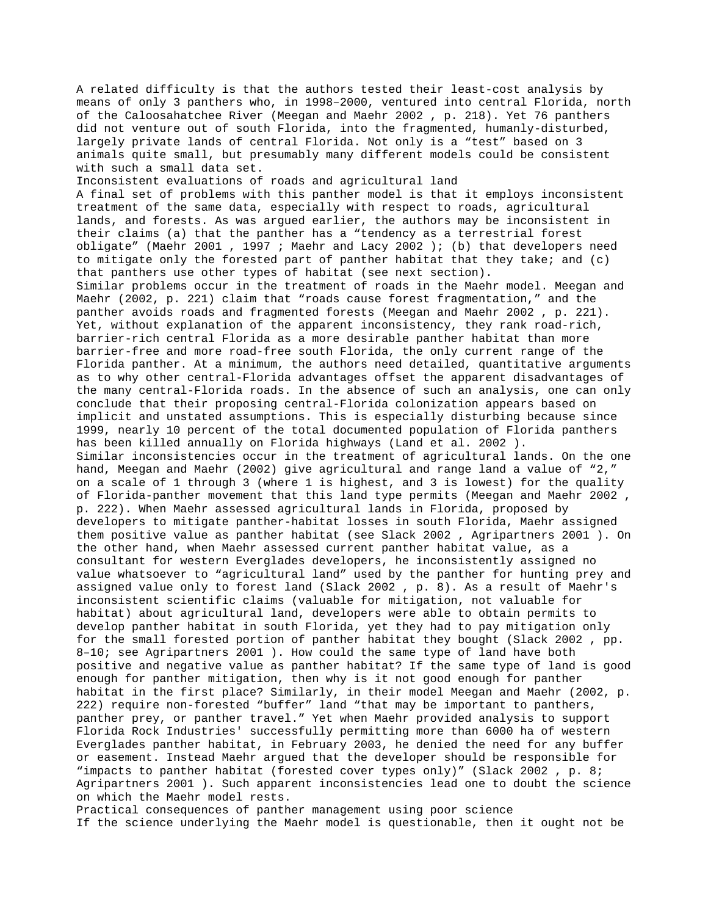A related difficulty is that the authors tested their least-cost analysis by means of only 3 panthers who, in 1998–2000, ventured into central Florida, north of the Caloosahatchee River (Meegan and Maehr 2002 , p. 218). Yet 76 panthers did not venture out of south Florida, into the fragmented, humanly-disturbed, largely private lands of central Florida. Not only is a "test" based on 3 animals quite small, but presumably many different models could be consistent with such a small data set.

Inconsistent evaluations of roads and agricultural land A final set of problems with this panther model is that it employs inconsistent treatment of the same data, especially with respect to roads, agricultural lands, and forests. As was argued earlier, the authors may be inconsistent in their claims (a) that the panther has a "tendency as a terrestrial forest obligate" (Maehr 2001 , 1997 ; Maehr and Lacy 2002 ); (b) that developers need to mitigate only the forested part of panther habitat that they take; and (c) that panthers use other types of habitat (see next section). Similar problems occur in the treatment of roads in the Maehr model. Meegan and Maehr (2002, p. 221) claim that "roads cause forest fragmentation," and the panther avoids roads and fragmented forests (Meegan and Maehr 2002 , p. 221). Yet, without explanation of the apparent inconsistency, they rank road-rich, barrier-rich central Florida as a more desirable panther habitat than more barrier-free and more road-free south Florida, the only current range of the Florida panther. At a minimum, the authors need detailed, quantitative arguments as to why other central-Florida advantages offset the apparent disadvantages of the many central-Florida roads. In the absence of such an analysis, one can only conclude that their proposing central-Florida colonization appears based on implicit and unstated assumptions. This is especially disturbing because since 1999, nearly 10 percent of the total documented population of Florida panthers has been killed annually on Florida highways (Land et al. 2002 ). Similar inconsistencies occur in the treatment of agricultural lands. On the one hand, Meegan and Maehr (2002) give agricultural and range land a value of "2," on a scale of 1 through 3 (where 1 is highest, and 3 is lowest) for the quality of Florida-panther movement that this land type permits (Meegan and Maehr 2002 , p. 222). When Maehr assessed agricultural lands in Florida, proposed by developers to mitigate panther-habitat losses in south Florida, Maehr assigned them positive value as panther habitat (see Slack 2002 , Agripartners 2001 ). On the other hand, when Maehr assessed current panther habitat value, as a consultant for western Everglades developers, he inconsistently assigned no value whatsoever to "agricultural land" used by the panther for hunting prey and assigned value only to forest land (Slack 2002 , p. 8). As a result of Maehr's inconsistent scientific claims (valuable for mitigation, not valuable for habitat) about agricultural land, developers were able to obtain permits to develop panther habitat in south Florida, yet they had to pay mitigation only for the small forested portion of panther habitat they bought (Slack 2002 , pp. 8–10; see Agripartners 2001 ). How could the same type of land have both positive and negative value as panther habitat? If the same type of land is good enough for panther mitigation, then why is it not good enough for panther habitat in the first place? Similarly, in their model Meegan and Maehr (2002, p. 222) require non-forested "buffer" land "that may be important to panthers, panther prey, or panther travel." Yet when Maehr provided analysis to support Florida Rock Industries' successfully permitting more than 6000 ha of western Everglades panther habitat, in February 2003, he denied the need for any buffer or easement. Instead Maehr argued that the developer should be responsible for "impacts to panther habitat (forested cover types only)" (Slack 2002 , p. 8; Agripartners 2001 ). Such apparent inconsistencies lead one to doubt the science on which the Maehr model rests.

Practical consequences of panther management using poor science If the science underlying the Maehr model is questionable, then it ought not be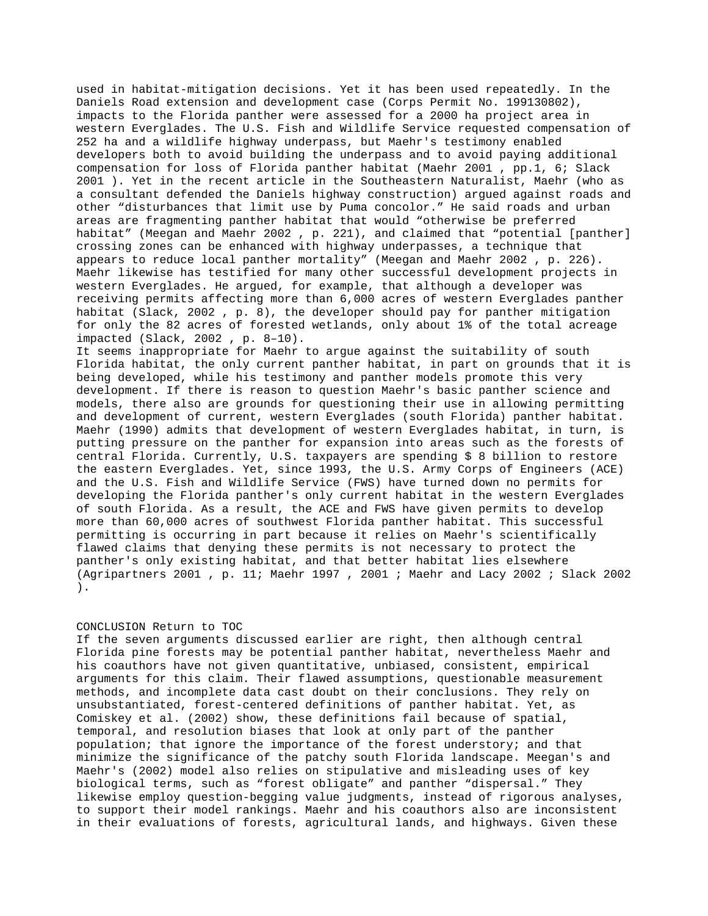used in habitat-mitigation decisions. Yet it has been used repeatedly. In the Daniels Road extension and development case (Corps Permit No. 199130802), impacts to the Florida panther were assessed for a 2000 ha project area in western Everglades. The U.S. Fish and Wildlife Service requested compensation of 252 ha and a wildlife highway underpass, but Maehr's testimony enabled developers both to avoid building the underpass and to avoid paying additional compensation for loss of Florida panther habitat (Maehr 2001 , pp.1, 6; Slack 2001 ). Yet in the recent article in the Southeastern Naturalist, Maehr (who as a consultant defended the Daniels highway construction) argued against roads and other "disturbances that limit use by Puma concolor." He said roads and urban areas are fragmenting panther habitat that would "otherwise be preferred habitat" (Meegan and Maehr 2002 , p. 221), and claimed that "potential [panther] crossing zones can be enhanced with highway underpasses, a technique that appears to reduce local panther mortality" (Meegan and Maehr 2002 , p. 226). Maehr likewise has testified for many other successful development projects in western Everglades. He argued, for example, that although a developer was receiving permits affecting more than 6,000 acres of western Everglades panther habitat (Slack, 2002 , p. 8), the developer should pay for panther mitigation for only the 82 acres of forested wetlands, only about 1% of the total acreage impacted (Slack, 2002 , p. 8–10). It seems inappropriate for Maehr to argue against the suitability of south

Florida habitat, the only current panther habitat, in part on grounds that it is being developed, while his testimony and panther models promote this very development. If there is reason to question Maehr's basic panther science and models, there also are grounds for questioning their use in allowing permitting and development of current, western Everglades (south Florida) panther habitat. Maehr (1990) admits that development of western Everglades habitat, in turn, is putting pressure on the panther for expansion into areas such as the forests of central Florida. Currently, U.S. taxpayers are spending \$ 8 billion to restore the eastern Everglades. Yet, since 1993, the U.S. Army Corps of Engineers (ACE) and the U.S. Fish and Wildlife Service (FWS) have turned down no permits for developing the Florida panther's only current habitat in the western Everglades of south Florida. As a result, the ACE and FWS have given permits to develop more than 60,000 acres of southwest Florida panther habitat. This successful permitting is occurring in part because it relies on Maehr's scientifically flawed claims that denying these permits is not necessary to protect the panther's only existing habitat, and that better habitat lies elsewhere (Agripartners 2001 , p. 11; Maehr 1997 , 2001 ; Maehr and Lacy 2002 ; Slack 2002 ).

## CONCLUSION Return to TOC

If the seven arguments discussed earlier are right, then although central Florida pine forests may be potential panther habitat, nevertheless Maehr and his coauthors have not given quantitative, unbiased, consistent, empirical arguments for this claim. Their flawed assumptions, questionable measurement methods, and incomplete data cast doubt on their conclusions. They rely on unsubstantiated, forest-centered definitions of panther habitat. Yet, as Comiskey et al. (2002) show, these definitions fail because of spatial, temporal, and resolution biases that look at only part of the panther population; that ignore the importance of the forest understory; and that minimize the significance of the patchy south Florida landscape. Meegan's and Maehr's (2002) model also relies on stipulative and misleading uses of key biological terms, such as "forest obligate" and panther "dispersal." They likewise employ question-begging value judgments, instead of rigorous analyses, to support their model rankings. Maehr and his coauthors also are inconsistent in their evaluations of forests, agricultural lands, and highways. Given these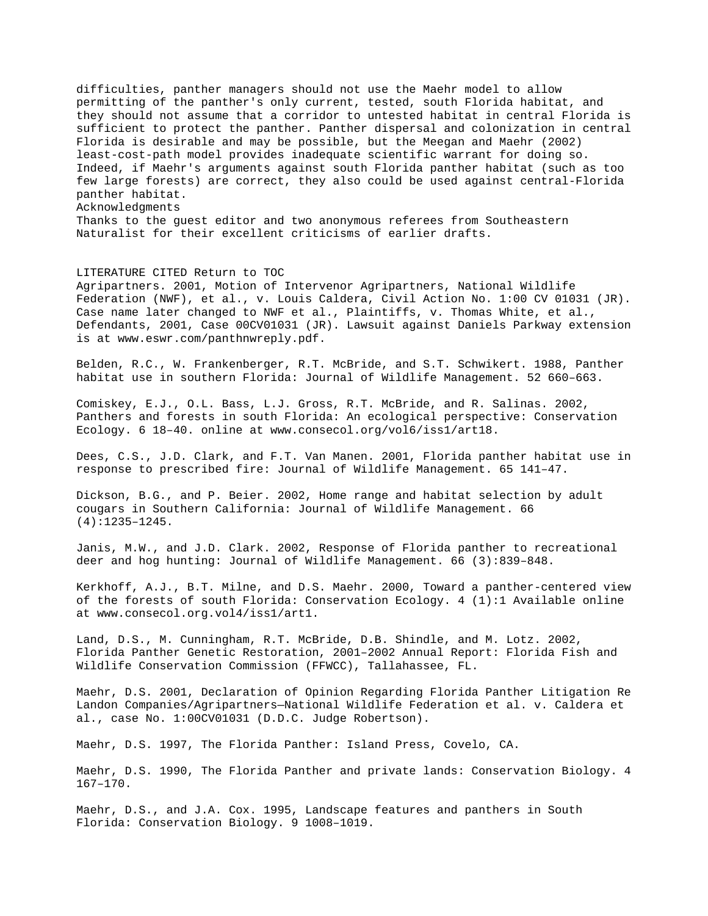difficulties, panther managers should not use the Maehr model to allow permitting of the panther's only current, tested, south Florida habitat, and they should not assume that a corridor to untested habitat in central Florida is sufficient to protect the panther. Panther dispersal and colonization in central Florida is desirable and may be possible, but the Meegan and Maehr (2002) least-cost-path model provides inadequate scientific warrant for doing so. Indeed, if Maehr's arguments against south Florida panther habitat (such as too few large forests) are correct, they also could be used against central-Florida panther habitat. Acknowledgments Thanks to the guest editor and two anonymous referees from Southeastern Naturalist for their excellent criticisms of earlier drafts.

## LITERATURE CITED Return to TOC

Agripartners. 2001, Motion of Intervenor Agripartners, National Wildlife Federation (NWF), et al., v. Louis Caldera, Civil Action No. 1:00 CV 01031 (JR). Case name later changed to NWF et al., Plaintiffs, v. Thomas White, et al., Defendants, 2001, Case 00CV01031 (JR). Lawsuit against Daniels Parkway extension is at www.eswr.com/panthnwreply.pdf.

Belden, R.C., W. Frankenberger, R.T. McBride, and S.T. Schwikert. 1988, Panther habitat use in southern Florida: Journal of Wildlife Management. 52 660–663.

Comiskey, E.J., O.L. Bass, L.J. Gross, R.T. McBride, and R. Salinas. 2002, Panthers and forests in south Florida: An ecological perspective: Conservation Ecology. 6 18–40. online at www.consecol.org/vol6/iss1/art18.

Dees, C.S., J.D. Clark, and F.T. Van Manen. 2001, Florida panther habitat use in response to prescribed fire: Journal of Wildlife Management. 65 141–47.

Dickson, B.G., and P. Beier. 2002, Home range and habitat selection by adult cougars in Southern California: Journal of Wildlife Management. 66 (4):1235–1245.

Janis, M.W., and J.D. Clark. 2002, Response of Florida panther to recreational deer and hog hunting: Journal of Wildlife Management. 66 (3):839–848.

Kerkhoff, A.J., B.T. Milne, and D.S. Maehr. 2000, Toward a panther-centered view of the forests of south Florida: Conservation Ecology. 4 (1):1 Available online at www.consecol.org.vol4/iss1/art1.

Land, D.S., M. Cunningham, R.T. McBride, D.B. Shindle, and M. Lotz. 2002, Florida Panther Genetic Restoration, 2001–2002 Annual Report: Florida Fish and Wildlife Conservation Commission (FFWCC), Tallahassee, FL.

Maehr, D.S. 2001, Declaration of Opinion Regarding Florida Panther Litigation Re Landon Companies/Agripartners—National Wildlife Federation et al. v. Caldera et al., case No. 1:00CV01031 (D.D.C. Judge Robertson).

Maehr, D.S. 1997, The Florida Panther: Island Press, Covelo, CA.

Maehr, D.S. 1990, The Florida Panther and private lands: Conservation Biology. 4 167–170.

Maehr, D.S., and J.A. Cox. 1995, Landscape features and panthers in South Florida: Conservation Biology. 9 1008–1019.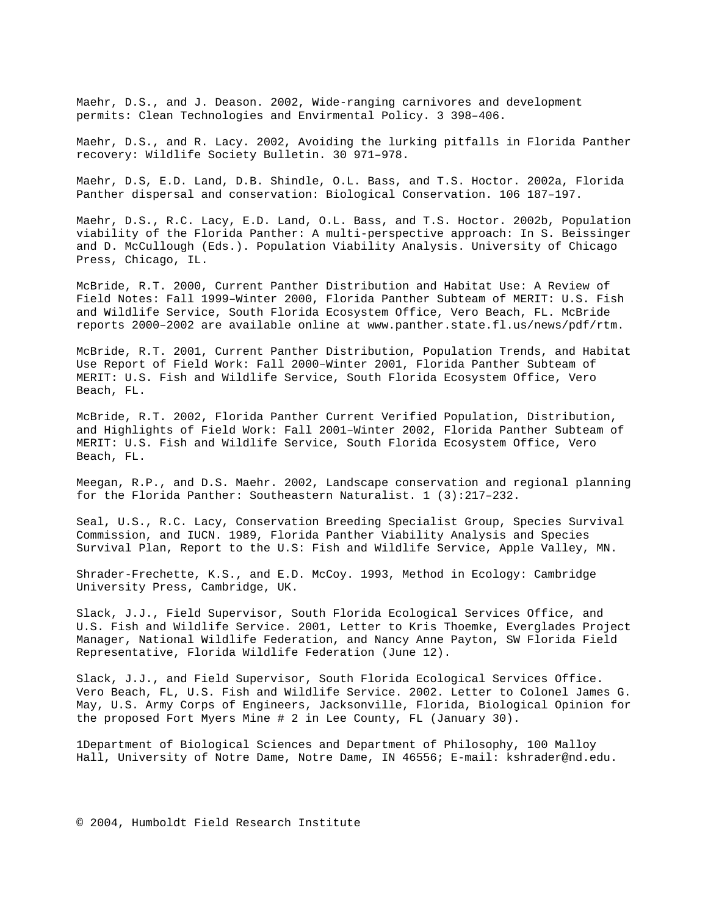Maehr, D.S., and J. Deason. 2002, Wide-ranging carnivores and development permits: Clean Technologies and Envirmental Policy. 3 398–406.

Maehr, D.S., and R. Lacy. 2002, Avoiding the lurking pitfalls in Florida Panther recovery: Wildlife Society Bulletin. 30 971–978.

Maehr, D.S, E.D. Land, D.B. Shindle, O.L. Bass, and T.S. Hoctor. 2002a, Florida Panther dispersal and conservation: Biological Conservation. 106 187–197.

Maehr, D.S., R.C. Lacy, E.D. Land, O.L. Bass, and T.S. Hoctor. 2002b, Population viability of the Florida Panther: A multi-perspective approach: In S. Beissinger and D. McCullough (Eds.). Population Viability Analysis. University of Chicago Press, Chicago, IL.

McBride, R.T. 2000, Current Panther Distribution and Habitat Use: A Review of Field Notes: Fall 1999–Winter 2000, Florida Panther Subteam of MERIT: U.S. Fish and Wildlife Service, South Florida Ecosystem Office, Vero Beach, FL. McBride reports 2000–2002 are available online at www.panther.state.fl.us/news/pdf/rtm.

McBride, R.T. 2001, Current Panther Distribution, Population Trends, and Habitat Use Report of Field Work: Fall 2000–Winter 2001, Florida Panther Subteam of MERIT: U.S. Fish and Wildlife Service, South Florida Ecosystem Office, Vero Beach, FL.

McBride, R.T. 2002, Florida Panther Current Verified Population, Distribution, and Highlights of Field Work: Fall 2001–Winter 2002, Florida Panther Subteam of MERIT: U.S. Fish and Wildlife Service, South Florida Ecosystem Office, Vero Beach, FL.

Meegan, R.P., and D.S. Maehr. 2002, Landscape conservation and regional planning for the Florida Panther: Southeastern Naturalist. 1 (3):217–232.

Seal, U.S., R.C. Lacy, Conservation Breeding Specialist Group, Species Survival Commission, and IUCN. 1989, Florida Panther Viability Analysis and Species Survival Plan, Report to the U.S: Fish and Wildlife Service, Apple Valley, MN.

Shrader-Frechette, K.S., and E.D. McCoy. 1993, Method in Ecology: Cambridge University Press, Cambridge, UK.

Slack, J.J., Field Supervisor, South Florida Ecological Services Office, and U.S. Fish and Wildlife Service. 2001, Letter to Kris Thoemke, Everglades Project Manager, National Wildlife Federation, and Nancy Anne Payton, SW Florida Field Representative, Florida Wildlife Federation (June 12).

Slack, J.J., and Field Supervisor, South Florida Ecological Services Office. Vero Beach, FL, U.S. Fish and Wildlife Service. 2002. Letter to Colonel James G. May, U.S. Army Corps of Engineers, Jacksonville, Florida, Biological Opinion for the proposed Fort Myers Mine # 2 in Lee County, FL (January 30).

1Department of Biological Sciences and Department of Philosophy, 100 Malloy Hall, University of Notre Dame, Notre Dame, IN 46556; E-mail: kshrader@nd.edu.

© 2004, Humboldt Field Research Institute